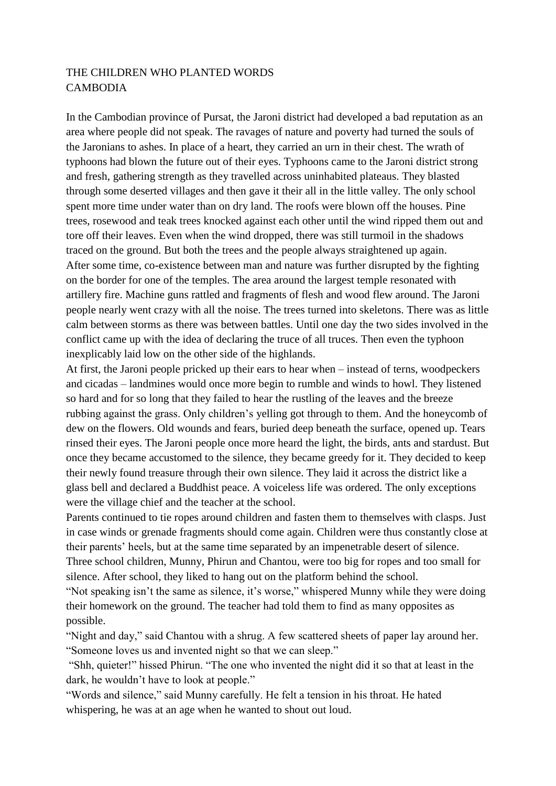## THE CHILDREN WHO PLANTED WORDS **CAMBODIA**

In the Cambodian province of Pursat, the Jaroni district had developed a bad reputation as an area where people did not speak. The ravages of nature and poverty had turned the souls of the Jaronians to ashes. In place of a heart, they carried an urn in their chest. The wrath of typhoons had blown the future out of their eyes. Typhoons came to the Jaroni district strong and fresh, gathering strength as they travelled across uninhabited plateaus. They blasted through some deserted villages and then gave it their all in the little valley. The only school spent more time under water than on dry land. The roofs were blown off the houses. Pine trees, rosewood and teak trees knocked against each other until the wind ripped them out and tore off their leaves. Even when the wind dropped, there was still turmoil in the shadows traced on the ground. But both the trees and the people always straightened up again. After some time, co-existence between man and nature was further disrupted by the fighting on the border for one of the temples. The area around the largest temple resonated with artillery fire. Machine guns rattled and fragments of flesh and wood flew around. The Jaroni people nearly went crazy with all the noise. The trees turned into skeletons. There was as little calm between storms as there was between battles. Until one day the two sides involved in the conflict came up with the idea of declaring the truce of all truces. Then even the typhoon inexplicably laid low on the other side of the highlands.

At first, the Jaroni people pricked up their ears to hear when – instead of terns, woodpeckers and cicadas – landmines would once more begin to rumble and winds to howl. They listened so hard and for so long that they failed to hear the rustling of the leaves and the breeze rubbing against the grass. Only children's yelling got through to them. And the honeycomb of dew on the flowers. Old wounds and fears, buried deep beneath the surface, opened up. Tears rinsed their eyes. The Jaroni people once more heard the light, the birds, ants and stardust. But once they became accustomed to the silence, they became greedy for it. They decided to keep their newly found treasure through their own silence. They laid it across the district like a glass bell and declared a Buddhist peace. A voiceless life was ordered. The only exceptions were the village chief and the teacher at the school.

Parents continued to tie ropes around children and fasten them to themselves with clasps. Just in case winds or grenade fragments should come again. Children were thus constantly close at their parents' heels, but at the same time separated by an impenetrable desert of silence. Three school children, Munny, Phirun and Chantou, were too big for ropes and too small for silence. After school, they liked to hang out on the platform behind the school.

"Not speaking isn't the same as silence, it's worse," whispered Munny while they were doing their homework on the ground. The teacher had told them to find as many opposites as possible.

"Night and day," said Chantou with a shrug. A few scattered sheets of paper lay around her. "Someone loves us and invented night so that we can sleep."

"Shh, quieter!" hissed Phirun. "The one who invented the night did it so that at least in the dark, he wouldn't have to look at people."

"Words and silence," said Munny carefully. He felt a tension in his throat. He hated whispering, he was at an age when he wanted to shout out loud.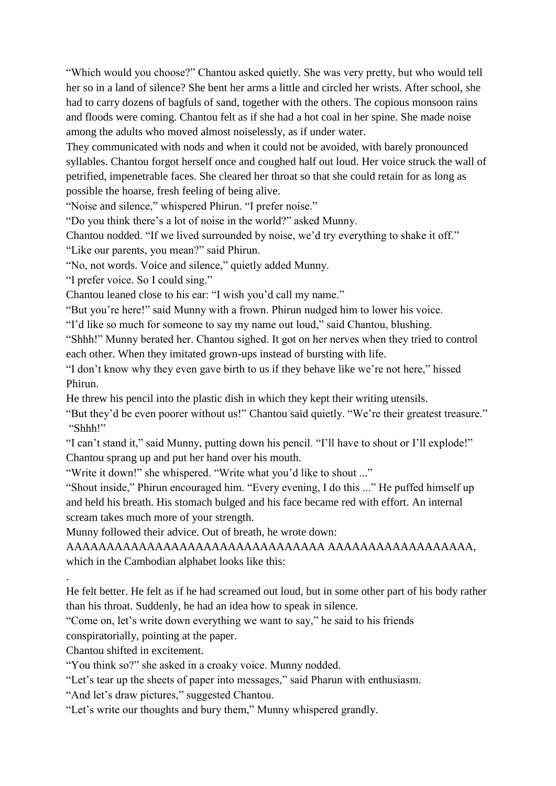"Which would you choose?" Chantou asked quietly. She was very pretty, but who would tell her so in a land of silence? She bent her arms a little and circled her wrists. After school, she had to carry dozens of bagfuls of sand, together with the others. The copious monsoon rains and floods were coming. Chantou felt as if she had a hot coal in her spine. She made noise among the adults who moved almost noiselessly, as if under water.

They communicated with nods and when it could not be avoided, with barely pronounced syllables. Chantou forgot herself once and coughed half out loud. Her voice struck the wall of petrified, impenetrable faces. She cleared her throat so that she could retain for as long as possible the hoarse, fresh feeling of being alive.

"Noise and silence," whispered Phirun. "I prefer noise."

"Do you think there's a lot of noise in the world?" asked Munny.

Chantou nodded. "If we lived surrounded by noise, we'd try everything to shake it off."

"Like our parents, you mean?" said Phirun.

"No, not words. Voice and silence," quietly added Munny.

"I prefer voice. So I could sing."

Chantou leaned close to his ear: "I wish you'd call my name."

"But you're here!" said Munny with a frown. Phirun nudged him to lower his voice.

"I'd like so much for someone to say my name out loud," said Chantou, blushing.

"Shhh!" Munny berated her. Chantou sighed. It got on her nerves when they tried to control each other. When they imitated grown-ups instead of bursting with life.

"I don't know why they even gave birth to us if they behave like we're not here," hissed Phirun.

He threw his pencil into the plastic dish in which they kept their writing utensils.

"But they'd be even poorer without us!" Chantou said quietly. "We're their greatest treasure." "Shhh!"

"I can't stand it," said Munny, putting down his pencil. "I'll have to shout or I'll explode!" Chantou sprang up and put her hand over his mouth.

"Write it down!" she whispered. "Write what you'd like to shout ..."

"Shout inside," Phirun encouraged him. "Every evening, I do this ..." He puffed himself up and held his breath. His stomach bulged and his face became red with effort. An internal scream takes much more of your strength.

Munny followed their advice. Out of breath, he wrote down:

AAAAAAAAAAAAAAAAAAAAAAAAAAAAAAAA AAAAAAAAAAAAAAAAAA, which in the Cambodian alphabet looks like this:

He felt better. He felt as if he had screamed out loud, but in some other part of his body rather than his throat. Suddenly, he had an idea how to speak in silence.

"Come on, let's write down everything we want to say," he said to his friends

conspiratorially, pointing at the paper.

Chantou shifted in excitement.

.

"You think so?" she asked in a croaky voice. Munny nodded.

"Let's tear up the sheets of paper into messages," said Pharun with enthusiasm.

"And let's draw pictures," suggested Chantou.

"Let's write our thoughts and bury them," Munny whispered grandly.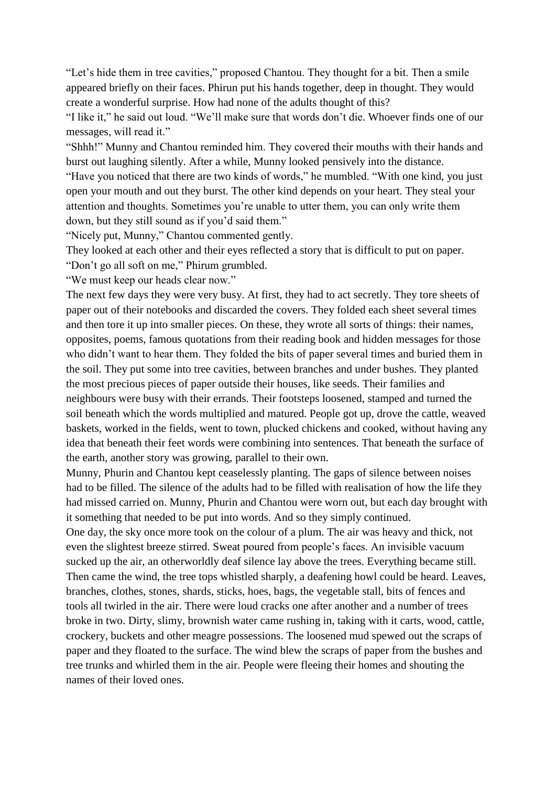"Let's hide them in tree cavities," proposed Chantou. They thought for a bit. Then a smile appeared briefly on their faces. Phirun put his hands together, deep in thought. They would create a wonderful surprise. How had none of the adults thought of this?

"I like it," he said out loud. "We'll make sure that words don't die. Whoever finds one of our messages, will read it."

"Shhh!" Munny and Chantou reminded him. They covered their mouths with their hands and burst out laughing silently. After a while, Munny looked pensively into the distance. "Have you noticed that there are two kinds of words," he mumbled. "With one kind, you just open your mouth and out they burst. The other kind depends on your heart. They steal your attention and thoughts. Sometimes you're unable to utter them, you can only write them down, but they still sound as if you'd said them."

"Nicely put, Munny," Chantou commented gently.

They looked at each other and their eyes reflected a story that is difficult to put on paper.

"Don't go all soft on me," Phirum grumbled.

"We must keep our heads clear now."

The next few days they were very busy. At first, they had to act secretly. They tore sheets of paper out of their notebooks and discarded the covers. They folded each sheet several times and then tore it up into smaller pieces. On these, they wrote all sorts of things: their names, opposites, poems, famous quotations from their reading book and hidden messages for those who didn't want to hear them. They folded the bits of paper several times and buried them in the soil. They put some into tree cavities, between branches and under bushes. They planted the most precious pieces of paper outside their houses, like seeds. Their families and neighbours were busy with their errands. Their footsteps loosened, stamped and turned the soil beneath which the words multiplied and matured. People got up, drove the cattle, weaved baskets, worked in the fields, went to town, plucked chickens and cooked, without having any idea that beneath their feet words were combining into sentences. That beneath the surface of the earth, another story was growing, parallel to their own.

Munny, Phurin and Chantou kept ceaselessly planting. The gaps of silence between noises had to be filled. The silence of the adults had to be filled with realisation of how the life they had missed carried on. Munny, Phurin and Chantou were worn out, but each day brought with it something that needed to be put into words. And so they simply continued.

One day, the sky once more took on the colour of a plum. The air was heavy and thick, not even the slightest breeze stirred. Sweat poured from people's faces. An invisible vacuum sucked up the air, an otherworldly deaf silence lay above the trees. Everything became still. Then came the wind, the tree tops whistled sharply, a deafening howl could be heard. Leaves, branches, clothes, stones, shards, sticks, hoes, bags, the vegetable stall, bits of fences and tools all twirled in the air. There were loud cracks one after another and a number of trees broke in two. Dirty, slimy, brownish water came rushing in, taking with it carts, wood, cattle, crockery, buckets and other meagre possessions. The loosened mud spewed out the scraps of paper and they floated to the surface. The wind blew the scraps of paper from the bushes and tree trunks and whirled them in the air. People were fleeing their homes and shouting the names of their loved ones.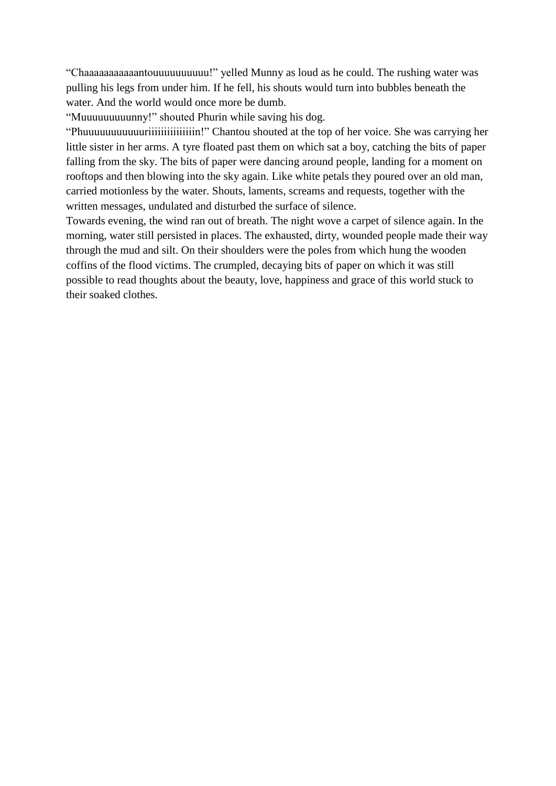"Chaaaaaaaaaaantouuuuuuuuuu!" yelled Munny as loud as he could. The rushing water was pulling his legs from under him. If he fell, his shouts would turn into bubbles beneath the water. And the world would once more be dumb.

"Muuuuuuuuunny!" shouted Phurin while saving his dog.

"Phuuuuuuuuuuuriiiiiiiiiiiiiiin!" Chantou shouted at the top of her voice. She was carrying her little sister in her arms. A tyre floated past them on which sat a boy, catching the bits of paper falling from the sky. The bits of paper were dancing around people, landing for a moment on rooftops and then blowing into the sky again. Like white petals they poured over an old man, carried motionless by the water. Shouts, laments, screams and requests, together with the written messages, undulated and disturbed the surface of silence.

Towards evening, the wind ran out of breath. The night wove a carpet of silence again. In the morning, water still persisted in places. The exhausted, dirty, wounded people made their way through the mud and silt. On their shoulders were the poles from which hung the wooden coffins of the flood victims. The crumpled, decaying bits of paper on which it was still possible to read thoughts about the beauty, love, happiness and grace of this world stuck to their soaked clothes.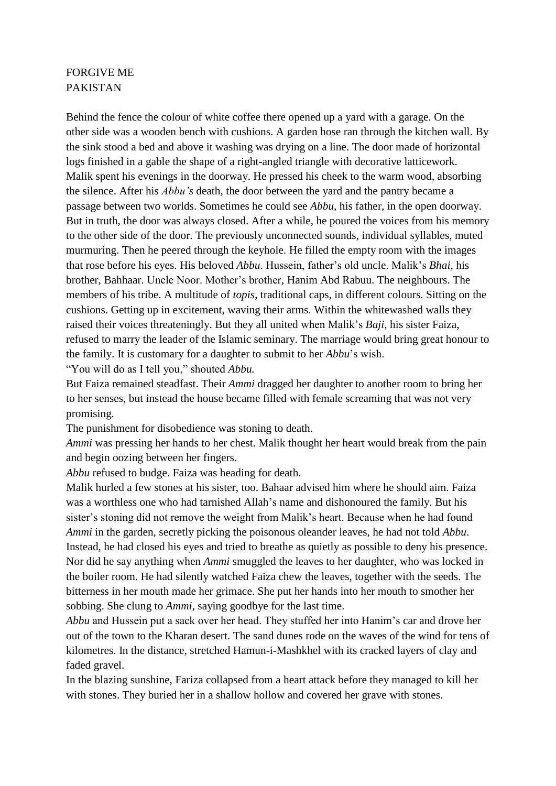## FORGIVE ME PAKISTAN

Behind the fence the colour of white coffee there opened up a yard with a garage. On the other side was a wooden bench with cushions. A garden hose ran through the kitchen wall. By the sink stood a bed and above it washing was drying on a line. The door made of horizontal logs finished in a gable the shape of a right-angled triangle with decorative latticework. Malik spent his evenings in the doorway. He pressed his cheek to the warm wood, absorbing the silence. After his *Abbu's* death, the door between the yard and the pantry became a passage between two worlds. Sometimes he could see *Abbu,* his father, in the open doorway. But in truth, the door was always closed. After a while, he poured the voices from his memory to the other side of the door. The previously unconnected sounds, individual syllables, muted murmuring. Then he peered through the keyhole. He filled the empty room with the images that rose before his eyes. His beloved *Abbu*. Hussein, father's old uncle. Malik's *Bhai*, his brother, Bahhaar. Uncle Noor. Mother's brother, Hanim Abd Rabuu. The neighbours. The members of his tribe. A multitude of *topis*, traditional caps, in different colours. Sitting on the cushions. Getting up in excitement, waving their arms. Within the whitewashed walls they raised their voices threateningly. But they all united when Malik's *Baji*, his sister Faiza, refused to marry the leader of the Islamic seminary. The marriage would bring great honour to the family. It is customary for a daughter to submit to her *Abbu*'s wish. "You will do as I tell you," shouted *Abbu.*

But Faiza remained steadfast. Their *Ammi* dragged her daughter to another room to bring her to her senses, but instead the house became filled with female screaming that was not very promising.

The punishment for disobedience was stoning to death.

*Ammi* was pressing her hands to her chest. Malik thought her heart would break from the pain and begin oozing between her fingers.

*Abbu* refused to budge. Faiza was heading for death.

Malik hurled a few stones at his sister, too. Bahaar advised him where he should aim. Faiza was a worthless one who had tarnished Allah's name and dishonoured the family. But his sister's stoning did not remove the weight from Malik's heart. Because when he had found *Ammi* in the garden, secretly picking the poisonous oleander leaves, he had not told *Abbu*. Instead, he had closed his eyes and tried to breathe as quietly as possible to deny his presence. Nor did he say anything when *Ammi* smuggled the leaves to her daughter, who was locked in the boiler room. He had silently watched Faiza chew the leaves, together with the seeds. The bitterness in her mouth made her grimace. She put her hands into her mouth to smother her sobbing. She clung to *Ammi*, saying goodbye for the last time.

*Abbu* and Hussein put a sack over her head. They stuffed her into Hanim's car and drove her out of the town to the Kharan desert. The sand dunes rode on the waves of the wind for tens of kilometres. In the distance, stretched Hamun-i-Mashkhel with its cracked layers of clay and faded gravel.

In the blazing sunshine, Fariza collapsed from a heart attack before they managed to kill her with stones. They buried her in a shallow hollow and covered her grave with stones.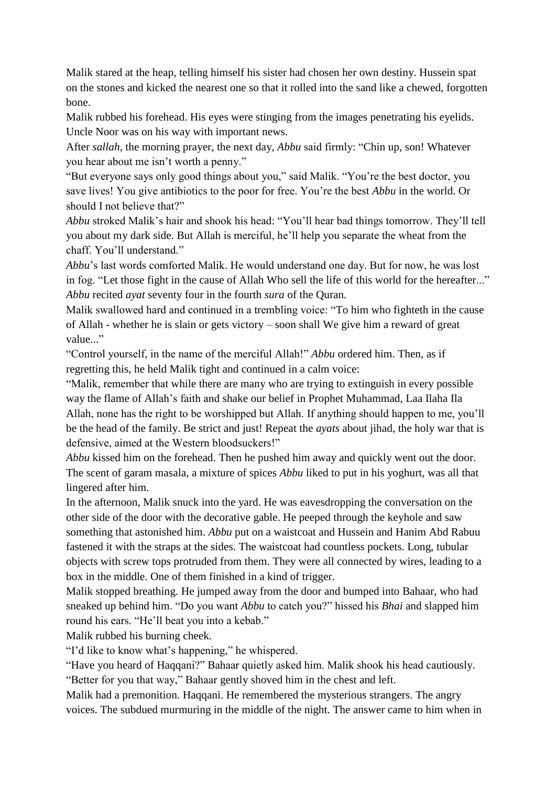Malik stared at the heap, telling himself his sister had chosen her own destiny. Hussein spat on the stones and kicked the nearest one so that it rolled into the sand like a chewed, forgotten bone.

Malik rubbed his forehead. His eyes were stinging from the images penetrating his eyelids. Uncle Noor was on his way with important news.

After *sallah,* the morning prayer, the next day, *Abbu* said firmly: "Chin up, son! Whatever you hear about me isn't worth a penny."

"But everyone says only good things about you," said Malik. "You're the best doctor, you save lives! You give antibiotics to the poor for free. You're the best *Abbu* in the world. Or should I not believe that?"

*Abbu* stroked Malik's hair and shook his head: "You'll hear bad things tomorrow. They'll tell you about my dark side. But Allah is merciful, he'll help you separate the wheat from the chaff. You'll understand."

*Abbu*'s last words comforted Malik. He would understand one day. But for now, he was lost in fog. "Let those fight in the cause of Allah Who sell the life of this world for the hereafter..." *Abbu* recited *ayat* seventy four in the fourth *sura* of the Quran*.*

Malik swallowed hard and continued in a trembling voice: "To him who fighteth in the cause of Allah - whether he is slain or gets victory – soon shall We give him a reward of great value..."

"Control yourself, in the name of the merciful Allah!" *Abbu* ordered him. Then, as if regretting this, he held Malik tight and continued in a calm voice:

"Malik, remember that while there are many who are trying to extinguish in every possible way the flame of Allah's faith and shake our belief in Prophet Muhammad, Laa Ilaha Ila Allah, none has the right to be worshipped but Allah. If anything should happen to me, you'll be the head of the family. Be strict and just! Repeat the *ayats* about jihad, the holy war that is defensive, aimed at the Western bloodsuckers!"

*Abbu* kissed him on the forehead. Then he pushed him away and quickly went out the door. The scent of garam masala, a mixture of spices *Abbu* liked to put in his yoghurt, was all that lingered after him.

In the afternoon, Malik snuck into the yard. He was eavesdropping the conversation on the other side of the door with the decorative gable. He peeped through the keyhole and saw something that astonished him. *Abbu* put on a waistcoat and Hussein and Hanim Abd Rabuu fastened it with the straps at the sides. The waistcoat had countless pockets. Long, tubular objects with screw tops protruded from them. They were all connected by wires, leading to a box in the middle. One of them finished in a kind of trigger.

Malik stopped breathing. He jumped away from the door and bumped into Bahaar, who had sneaked up behind him. "Do you want *Abbu* to catch you?" hissed his *Bhai* and slapped him round his ears. "He'll beat you into a kebab."

Malik rubbed his burning cheek.

"I'd like to know what's happening," he whispered.

"Have you heard of Haqqani?" Bahaar quietly asked him. Malik shook his head cautiously. "Better for you that way," Bahaar gently shoved him in the chest and left.

Malik had a premonition. Haqqani. He remembered the mysterious strangers. The angry voices. The subdued murmuring in the middle of the night. The answer came to him when in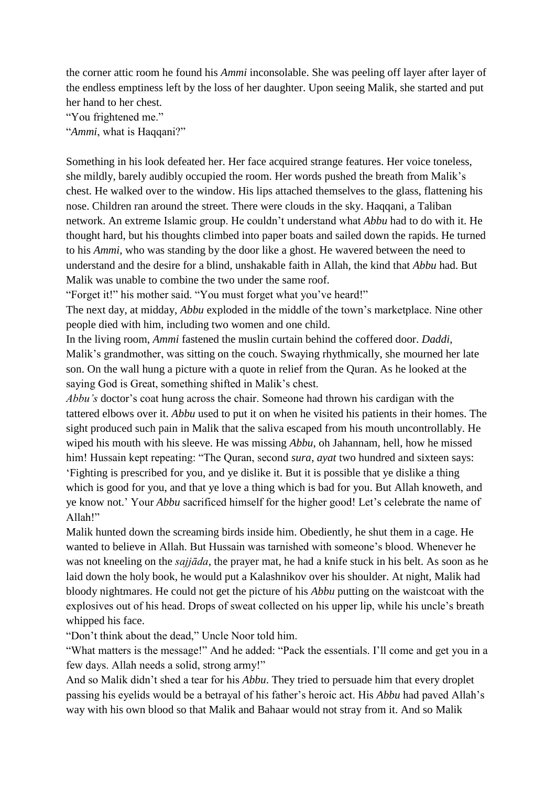the corner attic room he found his *Ammi* inconsolable. She was peeling off layer after layer of the endless emptiness left by the loss of her daughter. Upon seeing Malik, she started and put her hand to her chest.

"You frightened me."

"*Ammi*, what is Haqqani?"

Something in his look defeated her. Her face acquired strange features. Her voice toneless, she mildly, barely audibly occupied the room. Her words pushed the breath from Malik's chest. He walked over to the window. His lips attached themselves to the glass, flattening his nose. Children ran around the street. There were clouds in the sky. Haqqani, a Taliban network. An extreme Islamic group. He couldn't understand what *Abbu* had to do with it. He thought hard, but his thoughts climbed into paper boats and sailed down the rapids. He turned to his *Ammi*, who was standing by the door like a ghost. He wavered between the need to understand and the desire for a blind, unshakable faith in Allah, the kind that *Abbu* had. But Malik was unable to combine the two under the same roof.

"Forget it!" his mother said. "You must forget what you've heard!"

The next day, at midday, *Abbu* exploded in the middle of the town's marketplace. Nine other people died with him, including two women and one child.

In the living room, *Ammi* fastened the muslin curtain behind the coffered door. *Daddi*, Malik's grandmother, was sitting on the couch. Swaying rhythmically, she mourned her late son. On the wall hung a picture with a quote in relief from the Quran. As he looked at the saying God is Great, something shifted in Malik's chest.

*Abbu's* doctor's coat hung across the chair. Someone had thrown his cardigan with the tattered elbows over it. *Abbu* used to put it on when he visited his patients in their homes. The sight produced such pain in Malik that the saliva escaped from his mouth uncontrollably. He wiped his mouth with his sleeve. He was missing *Abbu*, oh Jahannam, hell, how he missed him! Hussain kept repeating: "The Quran, second *sura*, *ayat* two hundred and sixteen says: 'Fighting is prescribed for you, and ye dislike it. But it is possible that ye dislike a thing which is good for you, and that ye love a thing which is bad for you. But Allah knoweth, and ye know not.' Your *Abbu* sacrificed himself for the higher good! Let's celebrate the name of Allah!"

Malik hunted down the screaming birds inside him. Obediently, he shut them in a cage. He wanted to believe in Allah. But Hussain was tarnished with someone's blood. Whenever he was not kneeling on the *sajjāda*, the prayer mat, he had a knife stuck in his belt. As soon as he laid down the holy book, he would put a Kalashnikov over his shoulder. At night, Malik had bloody nightmares. He could not get the picture of his *Abbu* putting on the waistcoat with the explosives out of his head. Drops of sweat collected on his upper lip, while his uncle's breath whipped his face.

"Don't think about the dead," Uncle Noor told him.

"What matters is the message!" And he added: "Pack the essentials. I'll come and get you in a few days. Allah needs a solid, strong army!"

And so Malik didn't shed a tear for his *Abbu*. They tried to persuade him that every droplet passing his eyelids would be a betrayal of his father's heroic act. His *Abbu* had paved Allah's way with his own blood so that Malik and Bahaar would not stray from it. And so Malik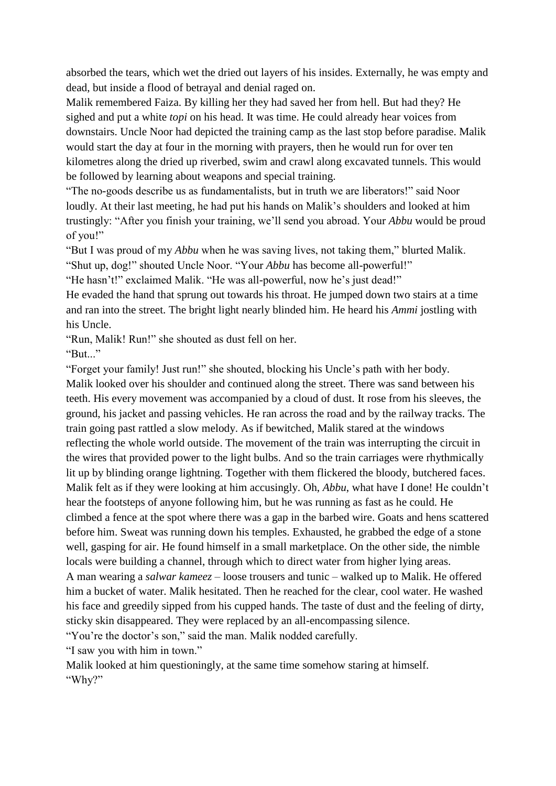absorbed the tears, which wet the dried out layers of his insides. Externally, he was empty and dead, but inside a flood of betrayal and denial raged on.

Malik remembered Faiza. By killing her they had saved her from hell. But had they? He sighed and put a white *topi* on his head. It was time. He could already hear voices from downstairs. Uncle Noor had depicted the training camp as the last stop before paradise. Malik would start the day at four in the morning with prayers, then he would run for over ten kilometres along the dried up riverbed, swim and crawl along excavated tunnels. This would be followed by learning about weapons and special training.

"The no-goods describe us as fundamentalists, but in truth we are liberators!" said Noor loudly. At their last meeting, he had put his hands on Malik's shoulders and looked at him trustingly: "After you finish your training, we'll send you abroad. Your *Abbu* would be proud of you!"

"But I was proud of my *Abbu* when he was saving lives, not taking them," blurted Malik. "Shut up, dog!" shouted Uncle Noor. "Your *Abbu* has become all-powerful!"

"He hasn't!" exclaimed Malik. "He was all-powerful, now he's just dead!"

He evaded the hand that sprung out towards his throat. He jumped down two stairs at a time and ran into the street. The bright light nearly blinded him. He heard his *Ammi* jostling with his Uncle.

"Run, Malik! Run!" she shouted as dust fell on her.

"But..."

"Forget your family! Just run!" she shouted, blocking his Uncle's path with her body. Malik looked over his shoulder and continued along the street. There was sand between his teeth. His every movement was accompanied by a cloud of dust. It rose from his sleeves, the ground, his jacket and passing vehicles. He ran across the road and by the railway tracks. The train going past rattled a slow melody. As if bewitched, Malik stared at the windows reflecting the whole world outside. The movement of the train was interrupting the circuit in the wires that provided power to the light bulbs. And so the train carriages were rhythmically lit up by blinding orange lightning. Together with them flickered the bloody, butchered faces. Malik felt as if they were looking at him accusingly. Oh, *Abbu*, what have I done! He couldn't hear the footsteps of anyone following him, but he was running as fast as he could. He climbed a fence at the spot where there was a gap in the barbed wire. Goats and hens scattered before him. Sweat was running down his temples. Exhausted, he grabbed the edge of a stone well, gasping for air. He found himself in a small marketplace. On the other side, the nimble locals were building a channel, through which to direct water from higher lying areas.

A man wearing a *salwar kameez* – loose trousers and tunic – walked up to Malik. He offered him a bucket of water. Malik hesitated. Then he reached for the clear, cool water. He washed his face and greedily sipped from his cupped hands. The taste of dust and the feeling of dirty, sticky skin disappeared. They were replaced by an all-encompassing silence.

"You're the doctor's son," said the man. Malik nodded carefully.

"I saw you with him in town."

Malik looked at him questioningly, at the same time somehow staring at himself. "Why?"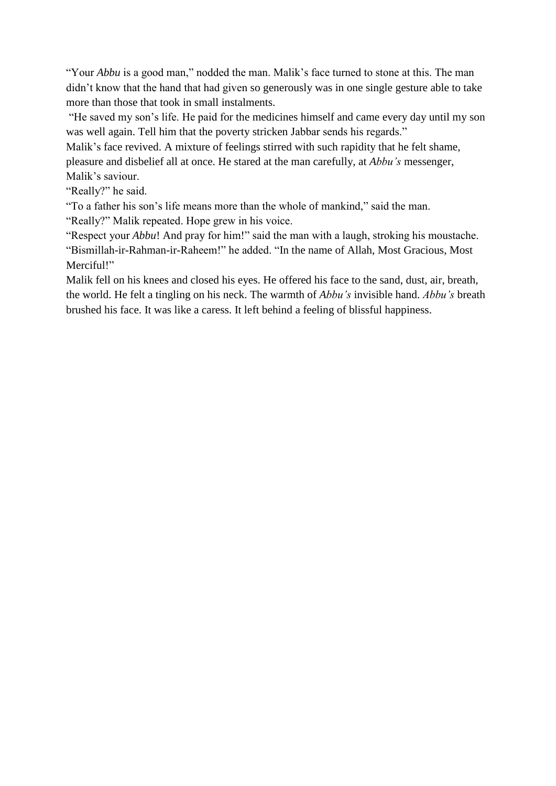"Your *Abbu* is a good man," nodded the man. Malik's face turned to stone at this. The man didn't know that the hand that had given so generously was in one single gesture able to take more than those that took in small instalments.

"He saved my son's life. He paid for the medicines himself and came every day until my son was well again. Tell him that the poverty stricken Jabbar sends his regards."

Malik's face revived. A mixture of feelings stirred with such rapidity that he felt shame, pleasure and disbelief all at once. He stared at the man carefully, at *Abbu's* messenger, Malik's saviour.

"Really?" he said.

"To a father his son's life means more than the whole of mankind," said the man.

"Really?" Malik repeated. Hope grew in his voice.

"Respect your *Abbu*! And pray for him!" said the man with a laugh, stroking his moustache. "Bismillah-ir-Rahman-ir-Raheem!" he added. "In the name of Allah, Most Gracious, Most Merciful!"

Malik fell on his knees and closed his eyes. He offered his face to the sand, dust, air, breath, the world. He felt a tingling on his neck. The warmth of *Abbu's* invisible hand. *Abbu's* breath brushed his face. It was like a caress. It left behind a feeling of blissful happiness.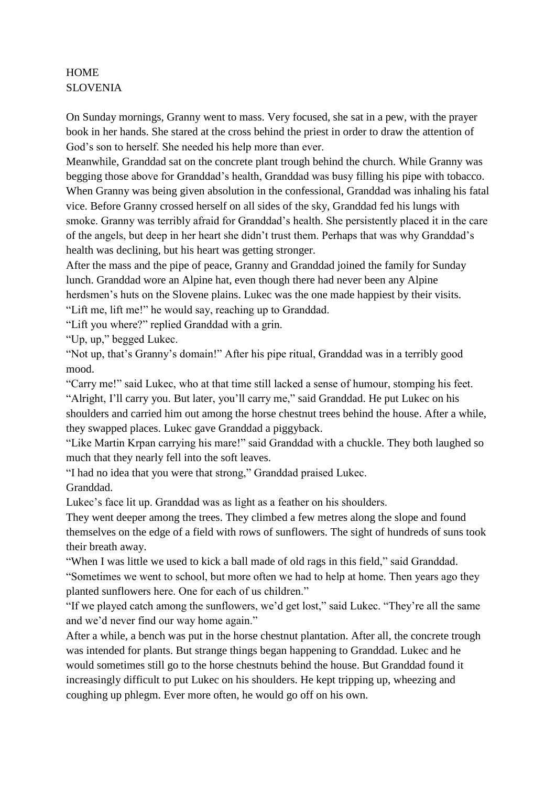## **HOME** SLOVENIA

On Sunday mornings, Granny went to mass. Very focused, she sat in a pew, with the prayer book in her hands. She stared at the cross behind the priest in order to draw the attention of God's son to herself. She needed his help more than ever.

Meanwhile, Granddad sat on the concrete plant trough behind the church. While Granny was begging those above for Granddad's health, Granddad was busy filling his pipe with tobacco. When Granny was being given absolution in the confessional, Granddad was inhaling his fatal vice. Before Granny crossed herself on all sides of the sky, Granddad fed his lungs with smoke. Granny was terribly afraid for Granddad's health. She persistently placed it in the care of the angels, but deep in her heart she didn't trust them. Perhaps that was why Granddad's health was declining, but his heart was getting stronger.

After the mass and the pipe of peace, Granny and Granddad joined the family for Sunday lunch. Granddad wore an Alpine hat, even though there had never been any Alpine herdsmen's huts on the Slovene plains. Lukec was the one made happiest by their visits. "Lift me, lift me!" he would say, reaching up to Granddad.

"Lift you where?" replied Granddad with a grin.

"Up, up," begged Lukec.

"Not up, that's Granny's domain!" After his pipe ritual, Granddad was in a terribly good mood.

"Carry me!" said Lukec, who at that time still lacked a sense of humour, stomping his feet. "Alright, I'll carry you. But later, you'll carry me," said Granddad. He put Lukec on his shoulders and carried him out among the horse chestnut trees behind the house. After a while, they swapped places. Lukec gave Granddad a piggyback.

"Like Martin Krpan carrying his mare!" said Granddad with a chuckle. They both laughed so much that they nearly fell into the soft leaves.

"I had no idea that you were that strong," Granddad praised Lukec. Granddad.

Lukec's face lit up. Granddad was as light as a feather on his shoulders.

They went deeper among the trees. They climbed a few metres along the slope and found themselves on the edge of a field with rows of sunflowers. The sight of hundreds of suns took their breath away.

"When I was little we used to kick a ball made of old rags in this field," said Granddad. "Sometimes we went to school, but more often we had to help at home. Then years ago they planted sunflowers here. One for each of us children."

"If we played catch among the sunflowers, we'd get lost," said Lukec. "They're all the same and we'd never find our way home again."

After a while, a bench was put in the horse chestnut plantation. After all, the concrete trough was intended for plants. But strange things began happening to Granddad. Lukec and he would sometimes still go to the horse chestnuts behind the house. But Granddad found it increasingly difficult to put Lukec on his shoulders. He kept tripping up, wheezing and coughing up phlegm. Ever more often, he would go off on his own.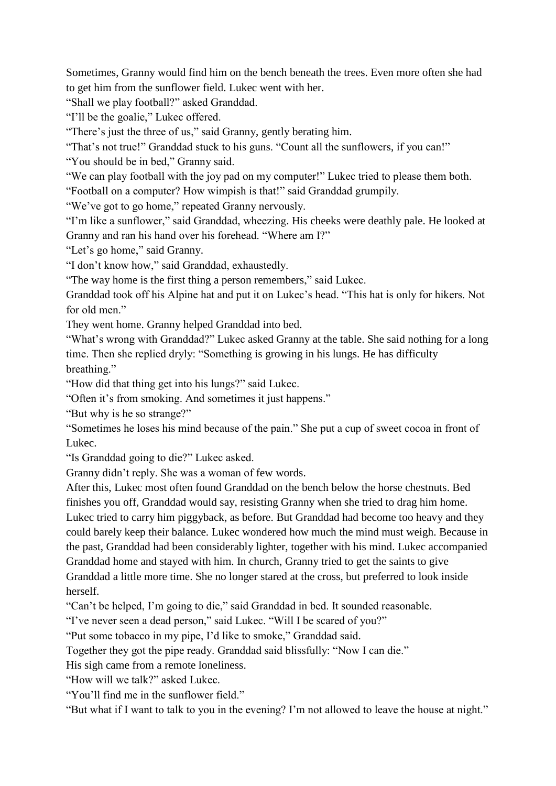Sometimes, Granny would find him on the bench beneath the trees. Even more often she had to get him from the sunflower field. Lukec went with her.

"Shall we play football?" asked Granddad.

"I'll be the goalie," Lukec offered.

"There's just the three of us," said Granny, gently berating him.

"That's not true!" Granddad stuck to his guns. "Count all the sunflowers, if you can!"

"You should be in bed," Granny said.

"We can play football with the joy pad on my computer!" Lukec tried to please them both.

"Football on a computer? How wimpish is that!" said Granddad grumpily.

"We've got to go home," repeated Granny nervously.

"I'm like a sunflower," said Granddad, wheezing. His cheeks were deathly pale. He looked at Granny and ran his hand over his forehead. "Where am I?"

"Let's go home," said Granny.

"I don't know how," said Granddad, exhaustedly.

"The way home is the first thing a person remembers," said Lukec.

Granddad took off his Alpine hat and put it on Lukec's head. "This hat is only for hikers. Not for old men."

They went home. Granny helped Granddad into bed.

"What's wrong with Granddad?" Lukec asked Granny at the table. She said nothing for a long time. Then she replied dryly: "Something is growing in his lungs. He has difficulty breathing."

"How did that thing get into his lungs?" said Lukec.

"Often it's from smoking. And sometimes it just happens."

"But why is he so strange?"

"Sometimes he loses his mind because of the pain." She put a cup of sweet cocoa in front of Lukec.

"Is Granddad going to die?" Lukec asked.

Granny didn't reply. She was a woman of few words.

After this, Lukec most often found Granddad on the bench below the horse chestnuts. Bed finishes you off, Granddad would say, resisting Granny when she tried to drag him home.

Lukec tried to carry him piggyback, as before. But Granddad had become too heavy and they could barely keep their balance. Lukec wondered how much the mind must weigh. Because in the past, Granddad had been considerably lighter, together with his mind. Lukec accompanied Granddad home and stayed with him. In church, Granny tried to get the saints to give Granddad a little more time. She no longer stared at the cross, but preferred to look inside herself.

"Can't be helped, I'm going to die," said Granddad in bed. It sounded reasonable.

"I've never seen a dead person," said Lukec. "Will I be scared of you?"

"Put some tobacco in my pipe, I'd like to smoke," Granddad said.

Together they got the pipe ready. Granddad said blissfully: "Now I can die."

His sigh came from a remote loneliness.

"How will we talk?" asked Lukec.

"You'll find me in the sunflower field."

"But what if I want to talk to you in the evening? I'm not allowed to leave the house at night."